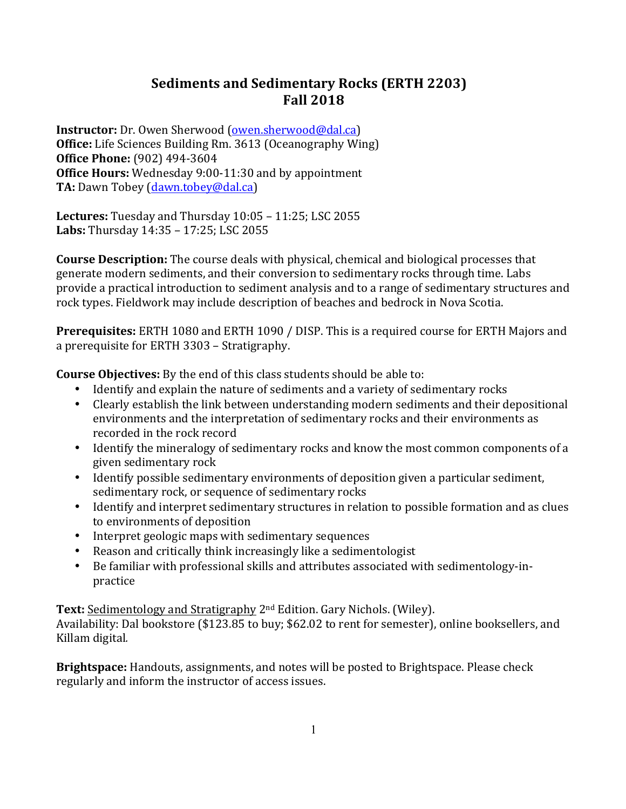# **Sediments and Sedimentary Rocks (ERTH 2203) Fall 2018**

**Instructor:** Dr. Owen Sherwood (owen.sherwood@dal.ca) **Office:** Life Sciences Building Rm. 3613 (Oceanography Wing) **Office Phone:** (902) 494-3604 **Office Hours:** Wednesday 9:00-11:30 and by appointment **TA:** Dawn Tobey (dawn.tobey@dal.ca)

**Lectures:** Tuesday and Thursday 10:05 - 11:25; LSC 2055 **Labs:** Thursday 14:35 - 17:25; LSC 2055

**Course Description:** The course deals with physical, chemical and biological processes that generate modern sediments, and their conversion to sedimentary rocks through time. Labs provide a practical introduction to sediment analysis and to a range of sedimentary structures and rock types. Fieldwork may include description of beaches and bedrock in Nova Scotia.

**Prerequisites:** ERTH 1080 and ERTH 1090 / DISP. This is a required course for ERTH Majors and a prerequisite for ERTH 3303 - Stratigraphy.

**Course Objectives:** By the end of this class students should be able to:

- Identify and explain the nature of sediments and a variety of sedimentary rocks
- Clearly establish the link between understanding modern sediments and their depositional environments and the interpretation of sedimentary rocks and their environments as recorded in the rock record
- Identify the mineralogy of sedimentary rocks and know the most common components of a given sedimentary rock
- Identify possible sedimentary environments of deposition given a particular sediment, sedimentary rock, or sequence of sedimentary rocks
- Identify and interpret sedimentary structures in relation to possible formation and as clues to environments of deposition
- Interpret geologic maps with sedimentary sequences
- Reason and critically think increasingly like a sedimentologist
- Be familiar with professional skills and attributes associated with sedimentology-inpractice

**Text:** Sedimentology and Stratigraphy 2<sup>nd</sup> Edition. Gary Nichols. (Wiley).

Availability: Dal bookstore (\$123.85 to buy; \$62.02 to rent for semester), online booksellers, and Killam digital*.* 

**Brightspace:** Handouts, assignments, and notes will be posted to Brightspace. Please check regularly and inform the instructor of access issues.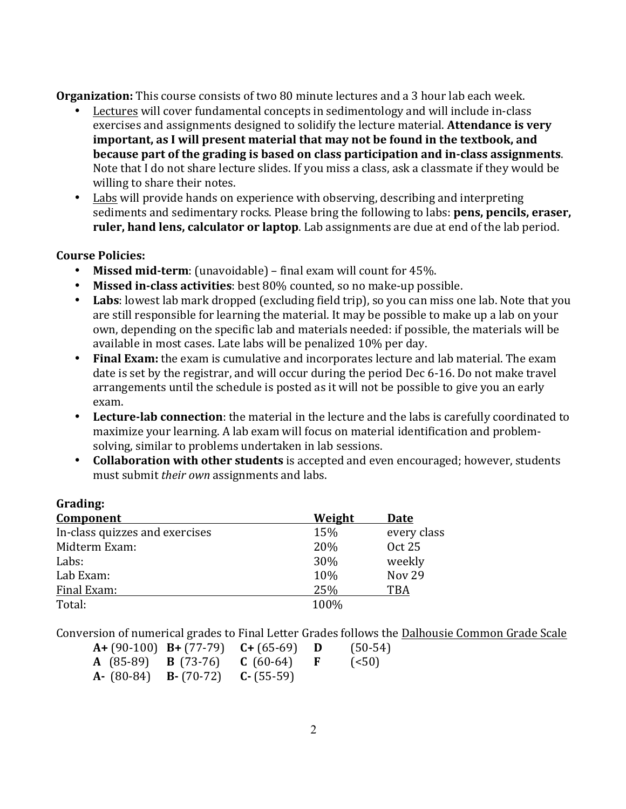**Organization:** This course consists of two 80 minute lectures and a 3 hour lab each week.

- Lectures will cover fundamental concepts in sedimentology and will include in-class exercises and assignments designed to solidify the lecture material. **Attendance is very** important, as I will present material that may not be found in the textbook, and **because part of the grading is based on class participation and in-class assignments.** Note that I do not share lecture slides. If you miss a class, ask a classmate if they would be willing to share their notes.
- Labs will provide hands on experience with observing, describing and interpreting sediments and sedimentary rocks. Please bring the following to labs: **pens, pencils, eraser, ruler, hand lens, calculator or laptop**. Lab assignments are due at end of the lab period.

# **Course Policies:**

**Grading:**

- Missed mid-term: (unavoidable) final exam will count for 45%.
- Missed in-class activities: best 80% counted, so no make-up possible.
- Labs: lowest lab mark dropped (excluding field trip), so you can miss one lab. Note that you are still responsible for learning the material. It may be possible to make up a lab on your own, depending on the specific lab and materials needed: if possible, the materials will be available in most cases. Late labs will be penalized 10% per day.
- Final Exam: the exam is cumulative and incorporates lecture and lab material. The exam date is set by the registrar, and will occur during the period Dec 6-16. Do not make travel arrangements until the schedule is posted as it will not be possible to give you an early exam.
- Lecture-lab connection: the material in the lecture and the labs is carefully coordinated to maximize your learning. A lab exam will focus on material identification and problemsolving, similar to problems undertaken in lab sessions.
- Collaboration with other students is accepted and even encouraged; however, students must submit *their own* assignments and labs.

| uraunig.                       |        |               |  |  |
|--------------------------------|--------|---------------|--|--|
| Component                      | Weight | Date          |  |  |
| In-class quizzes and exercises | 15%    | every class   |  |  |
| Midterm Exam:                  | 20%    | <b>Oct 25</b> |  |  |
| Labs:                          | 30%    | weekly        |  |  |
| Lab Exam:                      | 10%    | <b>Nov 29</b> |  |  |
| Final Exam:                    | 25%    | <b>TBA</b>    |  |  |
| Total:                         | 100%   |               |  |  |
|                                |        |               |  |  |

Conversion of numerical grades to Final Letter Grades follows the Dalhousie Common Grade Scale

|  |                                           | $A + (90-100)$ B+ $(77-79)$ C+ $(65-69)$ D                  | $(50-54)$ |
|--|-------------------------------------------|-------------------------------------------------------------|-----------|
|  |                                           | <b>A</b> (85-89) <b>B</b> (73-76) <b>C</b> (60-64) <b>F</b> | (< 50)    |
|  | $A - (80-84)$ $B - (70-72)$ $C - (55-59)$ |                                                             |           |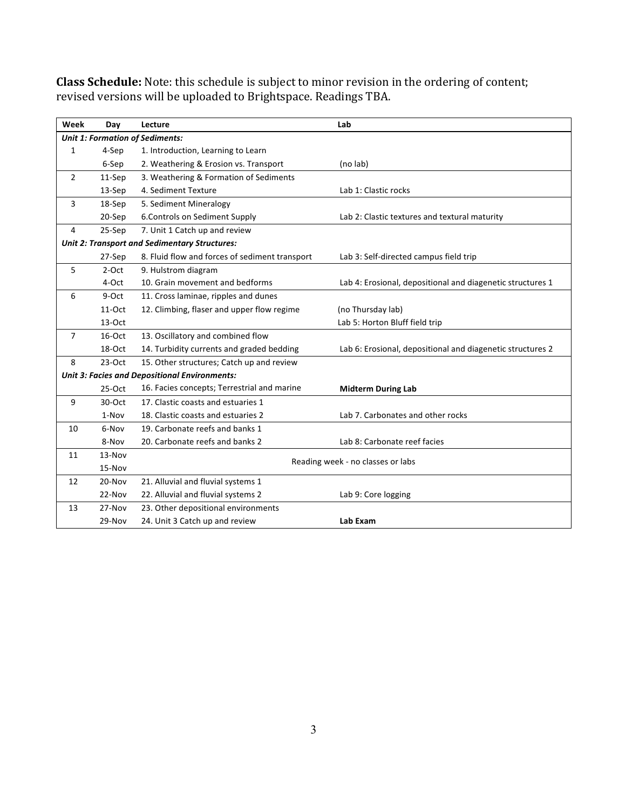| Week                                                 | Day      | Lecture                                        | Lab                                                        |  |  |  |  |
|------------------------------------------------------|----------|------------------------------------------------|------------------------------------------------------------|--|--|--|--|
| <b>Unit 1: Formation of Sediments:</b>               |          |                                                |                                                            |  |  |  |  |
| 1                                                    | 4-Sep    | 1. Introduction, Learning to Learn             |                                                            |  |  |  |  |
|                                                      | 6-Sep    | 2. Weathering & Erosion vs. Transport          | (no lab)                                                   |  |  |  |  |
| 2                                                    | $11-Sep$ | 3. Weathering & Formation of Sediments         |                                                            |  |  |  |  |
|                                                      | 13-Sep   | 4. Sediment Texture                            | Lab 1: Clastic rocks                                       |  |  |  |  |
| 3                                                    | 18-Sep   | 5. Sediment Mineralogy                         |                                                            |  |  |  |  |
|                                                      | 20-Sep   | 6. Controls on Sediment Supply                 | Lab 2: Clastic textures and textural maturity              |  |  |  |  |
| 4                                                    | 25-Sep   | 7. Unit 1 Catch up and review                  |                                                            |  |  |  |  |
| Unit 2: Transport and Sedimentary Structures:        |          |                                                |                                                            |  |  |  |  |
|                                                      | 27-Sep   | 8. Fluid flow and forces of sediment transport | Lab 3: Self-directed campus field trip                     |  |  |  |  |
| 5                                                    | 2-Oct    | 9. Hulstrom diagram                            |                                                            |  |  |  |  |
|                                                      | 4-Oct    | 10. Grain movement and bedforms                | Lab 4: Erosional, depositional and diagenetic structures 1 |  |  |  |  |
| 6                                                    | 9-Oct    | 11. Cross laminae, ripples and dunes           |                                                            |  |  |  |  |
|                                                      | 11-Oct   | 12. Climbing, flaser and upper flow regime     | (no Thursday lab)                                          |  |  |  |  |
|                                                      | $13-Oct$ |                                                | Lab 5: Horton Bluff field trip                             |  |  |  |  |
| $\overline{7}$                                       | 16-Oct   | 13. Oscillatory and combined flow              |                                                            |  |  |  |  |
|                                                      | 18-Oct   | 14. Turbidity currents and graded bedding      | Lab 6: Erosional, depositional and diagenetic structures 2 |  |  |  |  |
| 8                                                    | $23-Oct$ | 15. Other structures; Catch up and review      |                                                            |  |  |  |  |
| <b>Unit 3: Facies and Depositional Environments:</b> |          |                                                |                                                            |  |  |  |  |
|                                                      | $25-Oct$ | 16. Facies concepts; Terrestrial and marine    | <b>Midterm During Lab</b>                                  |  |  |  |  |
| 9                                                    | 30-Oct   | 17. Clastic coasts and estuaries 1             |                                                            |  |  |  |  |
|                                                      | 1-Nov    | 18. Clastic coasts and estuaries 2             | Lab 7. Carbonates and other rocks                          |  |  |  |  |
| 10                                                   | 6-Nov    | 19. Carbonate reefs and banks 1                |                                                            |  |  |  |  |
|                                                      | 8-Nov    | 20. Carbonate reefs and banks 2                | Lab 8: Carbonate reef facies                               |  |  |  |  |
| 11                                                   | 13-Nov   |                                                |                                                            |  |  |  |  |
|                                                      | 15-Nov   | Reading week - no classes or labs              |                                                            |  |  |  |  |
| 12                                                   | 20-Nov   | 21. Alluvial and fluvial systems 1             |                                                            |  |  |  |  |
|                                                      | 22-Nov   | 22. Alluvial and fluvial systems 2             | Lab 9: Core logging                                        |  |  |  |  |
| 13                                                   | 27-Nov   | 23. Other depositional environments            |                                                            |  |  |  |  |
|                                                      | 29-Nov   | 24. Unit 3 Catch up and review                 | Lab Exam                                                   |  |  |  |  |

**Class Schedule:** Note: this schedule is subject to minor revision in the ordering of content; revised versions will be uploaded to Brightspace. Readings TBA.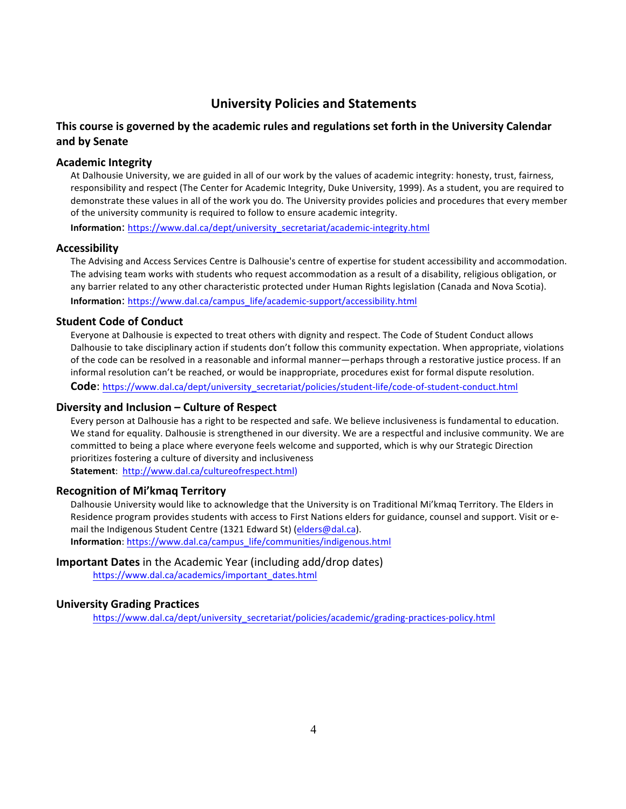# **University Policies and Statements**

# **This course is governed by the academic rules and regulations set forth in the University Calendar and by Senate**

## **Academic Integrity**

At Dalhousie University, we are guided in all of our work by the values of academic integrity: honesty, trust, fairness, responsibility and respect (The Center for Academic Integrity, Duke University, 1999). As a student, you are required to demonstrate these values in all of the work you do. The University provides policies and procedures that every member of the university community is required to follow to ensure academic integrity.

**Information**: https://www.dal.ca/dept/university\_secretariat/academic-integrity.html

### **Accessibility**

The Advising and Access Services Centre is Dalhousie's centre of expertise for student accessibility and accommodation. The advising team works with students who request accommodation as a result of a disability, religious obligation, or any barrier related to any other characteristic protected under Human Rights legislation (Canada and Nova Scotia). **Information**: https://www.dal.ca/campus\_life/academic-support/accessibility.html

### **Student Code of Conduct**

Everyone at Dalhousie is expected to treat others with dignity and respect. The Code of Student Conduct allows Dalhousie to take disciplinary action if students don't follow this community expectation. When appropriate, violations of the code can be resolved in a reasonable and informal manner—perhaps through a restorative justice process. If an informal resolution can't be reached, or would be inappropriate, procedures exist for formal dispute resolution. Code: https://www.dal.ca/dept/university\_secretariat/policies/student-life/code-of-student-conduct.html

## **Diversity and Inclusion – Culture of Respect**

Every person at Dalhousie has a right to be respected and safe. We believe inclusiveness is fundamental to education. We stand for equality. Dalhousie is strengthened in our diversity. We are a respectful and inclusive community. We are committed to being a place where everyone feels welcome and supported, which is why our Strategic Direction prioritizes fostering a culture of diversity and inclusiveness **Statement**: http://www.dal.ca/cultureofrespect.html)

### **Recognition of Mi'kmaq Territory**

Dalhousie University would like to acknowledge that the University is on Traditional Mi'kmaq Territory. The Elders in Residence program provides students with access to First Nations elders for guidance, counsel and support. Visit or email the Indigenous Student Centre (1321 Edward St) (elders@dal.ca). **Information**: https://www.dal.ca/campus\_life/communities/indigenous.html

# **Important Dates** in the Academic Year (including add/drop dates)

https://www.dal.ca/academics/important\_dates.html

## **University Grading Practices**

https://www.dal.ca/dept/university\_secretariat/policies/academic/grading-practices-policy.html